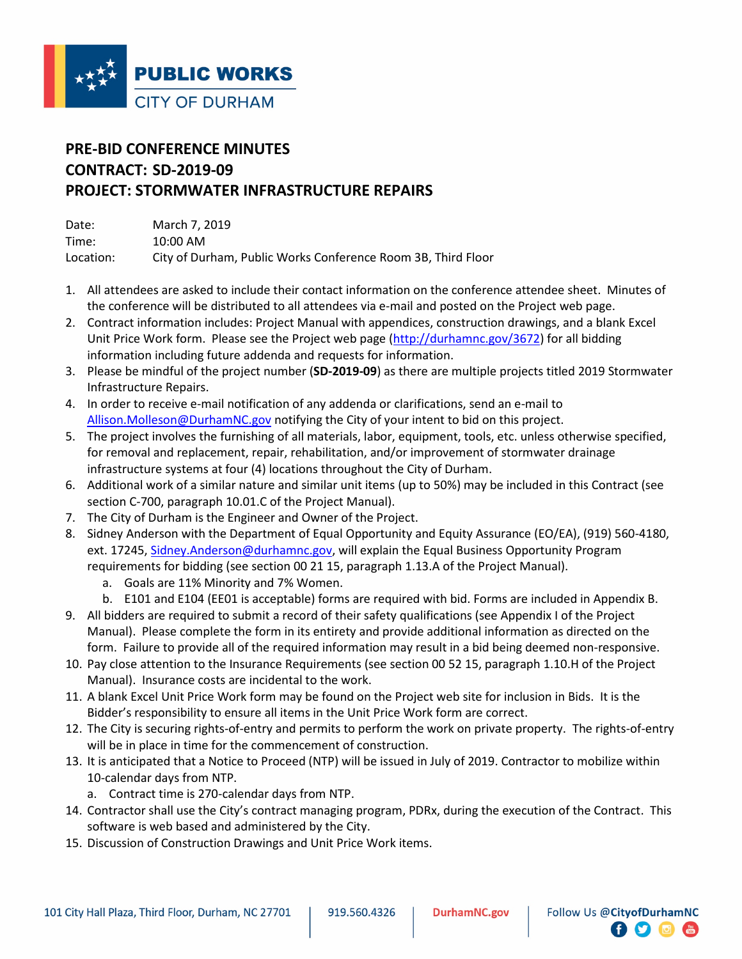

## **PRE-BID CONFERENCE MINUTES CONTRACT: SD-2019-09 PROJECT: STORMWATER INFRASTRUCTURE REPAIRS**

| Date:     | March 7, 2019                                                |
|-----------|--------------------------------------------------------------|
| Time:     | $10:00$ AM                                                   |
| Location: | City of Durham, Public Works Conference Room 3B, Third Floor |

- 1. All attendees are asked to include their contact information on the conference attendee sheet. Minutes of the conference will be distributed to all attendees via e-mail and posted on the Project web page.
- 2. Contract information includes: Project Manual with appendices, construction drawings, and a blank Excel Unit Price Work form. Please see the Project web page [\(http://durhamnc.gov/3672\)](http://durhamnc.gov/3672) for all bidding information including future addenda and requests for information.
- 3. Please be mindful of the project number (**SD-2019-09**) as there are multiple projects titled 2019 Stormwater Infrastructure Repairs.
- 4. In order to receive e-mail notification of any addenda or clarifications, send an e-mail to [Allison.Molleson@DurhamNC.gov](mailto:Allison.Molleson@DurhamNC.gov) notifying the City of your intent to bid on this project.
- 5. The project involves the furnishing of all materials, labor, equipment, tools, etc. unless otherwise specified, for removal and replacement, repair, rehabilitation, and/or improvement of stormwater drainage infrastructure systems at four (4) locations throughout the City of Durham.
- 6. Additional work of a similar nature and similar unit items (up to 50%) may be included in this Contract (see section C-700, paragraph 10.01.C of the Project Manual).
- 7. The City of Durham is the Engineer and Owner of the Project.
- 8. Sidney Anderson with the Department of Equal Opportunity and Equity Assurance (EO/EA), (919) 560-4180, ext. 17245, [Sidney.Anderson@durhamnc.gov,](mailto:Sidney.Anderson@durhamnc.gov) will explain the Equal Business Opportunity Program requirements for bidding (see section 00 21 15, paragraph 1.13.A of the Project Manual).
	- a. Goals are 11% Minority and 7% Women.
	- b. E101 and E104 (EE01 is acceptable) forms are required with bid. Forms are included in Appendix B.
- 9. All bidders are required to submit a record of their safety qualifications (see Appendix I of the Project Manual). Please complete the form in its entirety and provide additional information as directed on the form. Failure to provide all of the required information may result in a bid being deemed non-responsive.
- 10. Pay close attention to the Insurance Requirements (see section 00 52 15, paragraph 1.10.H of the Project Manual). Insurance costs are incidental to the work.
- 11. A blank Excel Unit Price Work form may be found on the Project web site for inclusion in Bids. It is the Bidder's responsibility to ensure all items in the Unit Price Work form are correct.
- 12. The City is securing rights-of-entry and permits to perform the work on private property. The rights-of-entry will be in place in time for the commencement of construction.
- 13. It is anticipated that a Notice to Proceed (NTP) will be issued in July of 2019. Contractor to mobilize within 10-calendar days from NTP.
	- a. Contract time is 270-calendar days from NTP.
- 14. Contractor shall use the City's contract managing program, PDRx, during the execution of the Contract. This software is web based and administered by the City.
- 15. Discussion of Construction Drawings and Unit Price Work items.

 $\bullet$   $\bullet$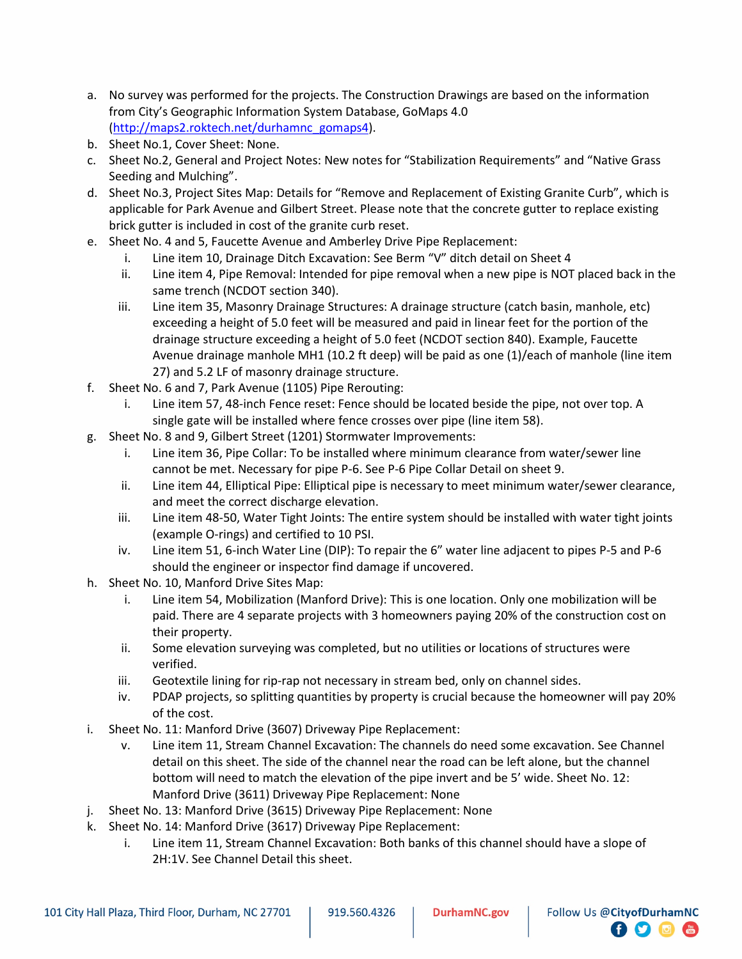- a. No survey was performed for the projects. The Construction Drawings are based on the information from City's Geographic Information System Database, GoMaps 4.0 [\(http://maps2.roktech.net/durhamnc\\_gomaps4\)](http://maps2.roktech.net/durhamnc_gomaps4).
- b. Sheet No.1, Cover Sheet: None.
- c. Sheet No.2, General and Project Notes: New notes for "Stabilization Requirements" and "Native Grass Seeding and Mulching".
- d. Sheet No.3, Project Sites Map: Details for "Remove and Replacement of Existing Granite Curb", which is applicable for Park Avenue and Gilbert Street. Please note that the concrete gutter to replace existing brick gutter is included in cost of the granite curb reset.
- e. Sheet No. 4 and 5, Faucette Avenue and Amberley Drive Pipe Replacement:
	- i. Line item 10, Drainage Ditch Excavation: See Berm "V" ditch detail on Sheet 4
	- ii. Line item 4, Pipe Removal: Intended for pipe removal when a new pipe is NOT placed back in the same trench (NCDOT section 340).
	- iii. Line item 35, Masonry Drainage Structures: A drainage structure (catch basin, manhole, etc) exceeding a height of 5.0 feet will be measured and paid in linear feet for the portion of the drainage structure exceeding a height of 5.0 feet (NCDOT section 840). Example, Faucette Avenue drainage manhole MH1 (10.2 ft deep) will be paid as one (1)/each of manhole (line item 27) and 5.2 LF of masonry drainage structure.
- f. Sheet No. 6 and 7, Park Avenue (1105) Pipe Rerouting:
	- i. Line item 57, 48-inch Fence reset: Fence should be located beside the pipe, not over top. A single gate will be installed where fence crosses over pipe (line item 58).
- g. Sheet No. 8 and 9, Gilbert Street (1201) Stormwater Improvements:
	- i. Line item 36, Pipe Collar: To be installed where minimum clearance from water/sewer line cannot be met. Necessary for pipe P-6. See P-6 Pipe Collar Detail on sheet 9.
	- ii. Line item 44, Elliptical Pipe: Elliptical pipe is necessary to meet minimum water/sewer clearance, and meet the correct discharge elevation.
	- iii. Line item 48-50, Water Tight Joints: The entire system should be installed with water tight joints (example O-rings) and certified to 10 PSI.
	- iv. Line item 51, 6-inch Water Line (DIP): To repair the 6" water line adjacent to pipes P-5 and P-6 should the engineer or inspector find damage if uncovered.
- h. Sheet No. 10, Manford Drive Sites Map:
	- i. Line item 54, Mobilization (Manford Drive): This is one location. Only one mobilization will be paid. There are 4 separate projects with 3 homeowners paying 20% of the construction cost on their property.
	- ii. Some elevation surveying was completed, but no utilities or locations of structures were verified.
	- iii. Geotextile lining for rip-rap not necessary in stream bed, only on channel sides.
	- iv. PDAP projects, so splitting quantities by property is crucial because the homeowner will pay 20% of the cost.
- i. Sheet No. 11: Manford Drive (3607) Driveway Pipe Replacement:
	- v. Line item 11, Stream Channel Excavation: The channels do need some excavation. See Channel detail on this sheet. The side of the channel near the road can be left alone, but the channel bottom will need to match the elevation of the pipe invert and be 5' wide. Sheet No. 12: Manford Drive (3611) Driveway Pipe Replacement: None
- j. Sheet No. 13: Manford Drive (3615) Driveway Pipe Replacement: None
- k. Sheet No. 14: Manford Drive (3617) Driveway Pipe Replacement:
	- i. Line item 11, Stream Channel Excavation: Both banks of this channel should have a slope of 2H:1V. See Channel Detail this sheet.

**日り回信**